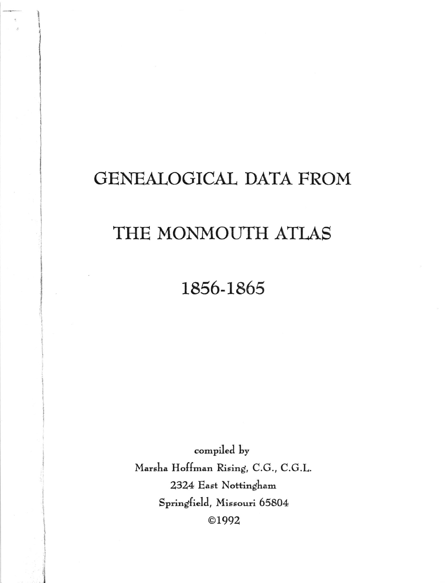## GENEALOGICAL DATA FROM

## THE MONMOUTH ATLAS

## 1856-1865

compiled by Marsha Hoffman Rising, C.G., C.G.L. 2324 East Nottingham Springfield, Missouri 65804 ©1992